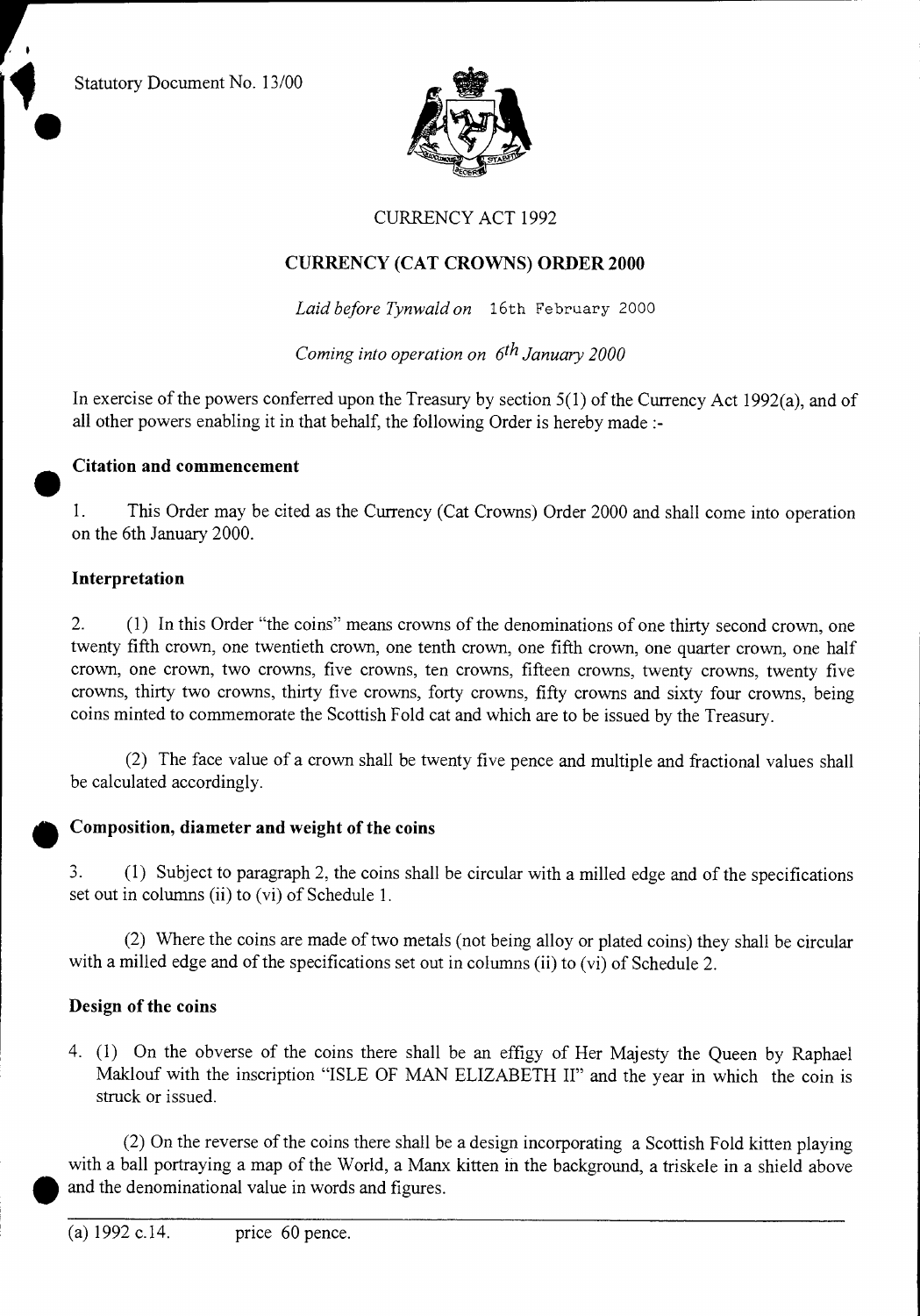Statutory Document No. 13/00



#### CURRENCY ACT 1992

#### **CURRENCY (CAT CROWNS) ORDER 2000**

*Laid before Tynwald on* 16th February 2000

*Coming into operation on 6th January 2000* 

In exercise of the powers conferred upon the Treasury by section 5(1) of the Currency Act 1992(a), and of all other powers enabling it in that behalf, the following Order is hereby made :-

# **Citation and commencement**<br>**1.** This Order may be cite

1. This Order may be cited as the Currency (Cat Crowns) Order 2000 and shall come into operation on the 6th January 2000.

#### **Interpretation**

2. (1) In this Order "the coins" means crowns of the denominations of one thirty second crown, one twenty fifth crown, one twentieth crown, one tenth crown, one fifth crown, one quarter crown, one half crown, one crown, two crowns, five crowns, ten crowns, fifteen crowns, twenty crowns, twenty five crowns, thirty two crowns, thirty five crowns, forty crowns, fifty crowns and sixty four crowns, being coins minted to commemorate the Scottish Fold cat and which are to be issued by the Treasury.

(2) The face value of a crown shall be twenty five pence and multiple and fractional values shall be calculated accordingly.

#### **Composition, diameter and weight of the coins**

3. (1) Subject to paragraph 2, the coins shall be circular with a milled edge and of the specifications set out in columns (ii) to (vi) of Schedule 1.

(2) Where the coins are made of two metals (not being alloy or plated coins) they shall be circular with a milled edge and of the specifications set out in columns (ii) to (vi) of Schedule 2.

#### **Design of the coins**

4. (1) On the obverse of the coins there shall be an effigy of Her Majesty the Queen by Raphael Maklouf with the inscription "ISLE OF MAN ELIZABETH II" and the year in which the coin is struck or issued.

(2) On the reverse of the coins there shall be a design incorporating a Scottish Fold kitten playing with a ball portraying a map of the World, a Manx kitten in the background, a triskele in a shield above and the denominational value in words and figures.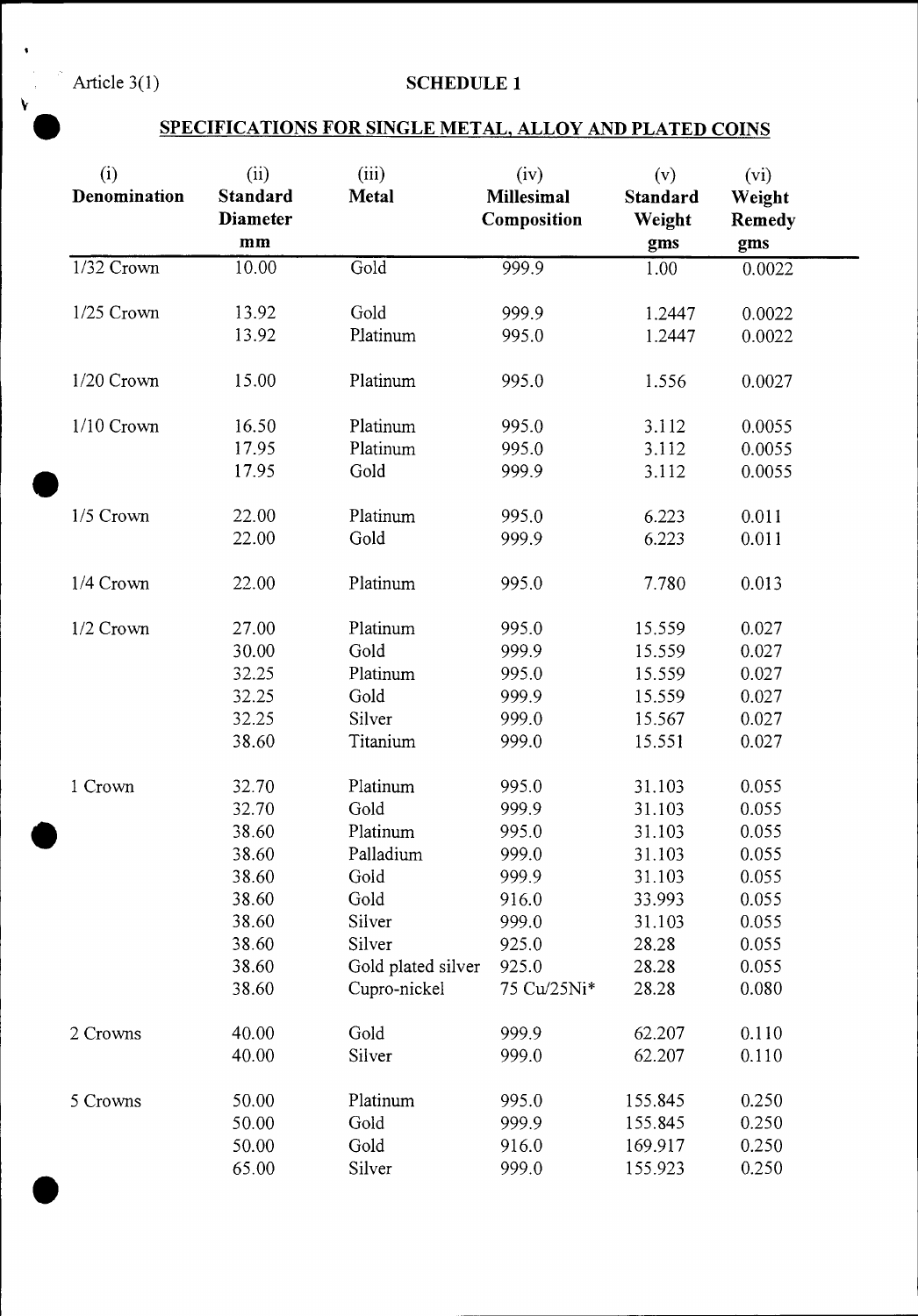## Article 3(1) **SCHEDULE 1**

### • **SPECIFICATIONS FOR SINGLE METAL, ALLOY AND PLATED COINS**

| (i)<br>Denomination | (ii)<br><b>Standard</b><br><b>Diameter</b><br>mm | (iii)<br><b>Metal</b> | (iv)<br><b>Millesimal</b><br>Composition | (v)<br>Standard<br>Weight<br>gms | (vi)<br>Weight<br><b>Remedy</b><br>gms |
|---------------------|--------------------------------------------------|-----------------------|------------------------------------------|----------------------------------|----------------------------------------|
| 1/32 Crown          | 10.00                                            | Gold                  | 999.9                                    | 1.00                             | 0.0022                                 |
| 1/25 Crown          | 13.92                                            | Gold                  | 999.9                                    | 1.2447                           | 0.0022                                 |
|                     | 13.92                                            | Platinum              | 995.0                                    | 1.2447                           | 0.0022                                 |
| 1/20 Crown          | 15.00                                            | Platinum              | 995.0                                    | 1.556                            | 0.0027                                 |
| $1/10$ Crown        | 16.50                                            | Platinum              | 995.0                                    | 3.112                            | 0.0055                                 |
|                     | 17.95                                            | Platinum              | 995.0                                    | 3.112                            | 0.0055                                 |
|                     | 17.95                                            | Gold                  | 999.9                                    | 3.112                            | 0.0055                                 |
| 1/5 Crown           | 22.00                                            | Platinum              | 995.0                                    | 6.223                            | 0.011                                  |
|                     | 22.00                                            | Gold                  | 999.9                                    | 6.223                            | 0.011                                  |
| 1/4 Crown           | 22.00                                            | Platinum              | 995.0                                    | 7.780                            | 0.013                                  |
| $1/2$ Crown         | 27.00                                            | Platinum              | 995.0                                    | 15.559                           | 0.027                                  |
|                     | 30.00                                            | Gold                  | 999.9                                    | 15.559                           | 0.027                                  |
|                     | 32.25                                            | Platinum              | 995.0                                    | 15.559                           | 0.027                                  |
|                     | 32.25                                            | Gold                  | 999.9                                    | 15.559                           | 0.027                                  |
|                     | 32.25                                            | Silver                | 999.0                                    | 15.567                           | 0.027                                  |
|                     | 38.60                                            | Titanium              | 999.0                                    | 15.551                           | 0.027                                  |
| 1 Crown             | 32.70                                            | Platinum              | 995.0                                    | 31.103                           | 0.055                                  |
|                     | 32.70                                            | Gold                  | 999.9                                    | 31.103                           | 0.055                                  |
|                     | 38.60                                            | Platinum              | 995.0                                    | 31.103                           | 0.055                                  |
|                     | 38.60                                            | Palladium             | 999.0                                    | 31.103                           | 0.055                                  |
|                     | 38.60                                            | Gold                  | 999.9                                    | 31.103                           | 0.055                                  |
|                     | 38.60                                            | Gold                  | 916.0                                    | 33.993                           | 0.055                                  |
|                     | 38.60                                            | Silver                | 999.0                                    | 31.103                           | 0.055                                  |
|                     | 38.60                                            | Silver                | 925.0                                    | 28.28                            | 0.055                                  |
|                     | 38.60                                            | Gold plated silver    | 925.0                                    | 28.28                            | 0.055                                  |
|                     | 38.60                                            | Cupro-nickel          | 75 Cu/25Ni*                              | 28.28                            | 0.080                                  |
| 2 Crowns            | 40.00                                            | Gold                  | 999.9                                    | 62.207                           | 0.110                                  |
|                     | 40.00                                            | Silver                | 999.0                                    | 62.207                           | 0.110                                  |
| 5 Crowns            | 50.00                                            | Platinum              | 995.0                                    | 155.845                          | 0.250                                  |
|                     | 50.00                                            | Gold                  | 999.9                                    | 155.845                          | 0.250                                  |
|                     | 50.00                                            | Gold                  | 916.0                                    | 169.917                          | 0.250                                  |
|                     | 65.00                                            | Silver                | 999.0                                    | 155.923                          | 0.250                                  |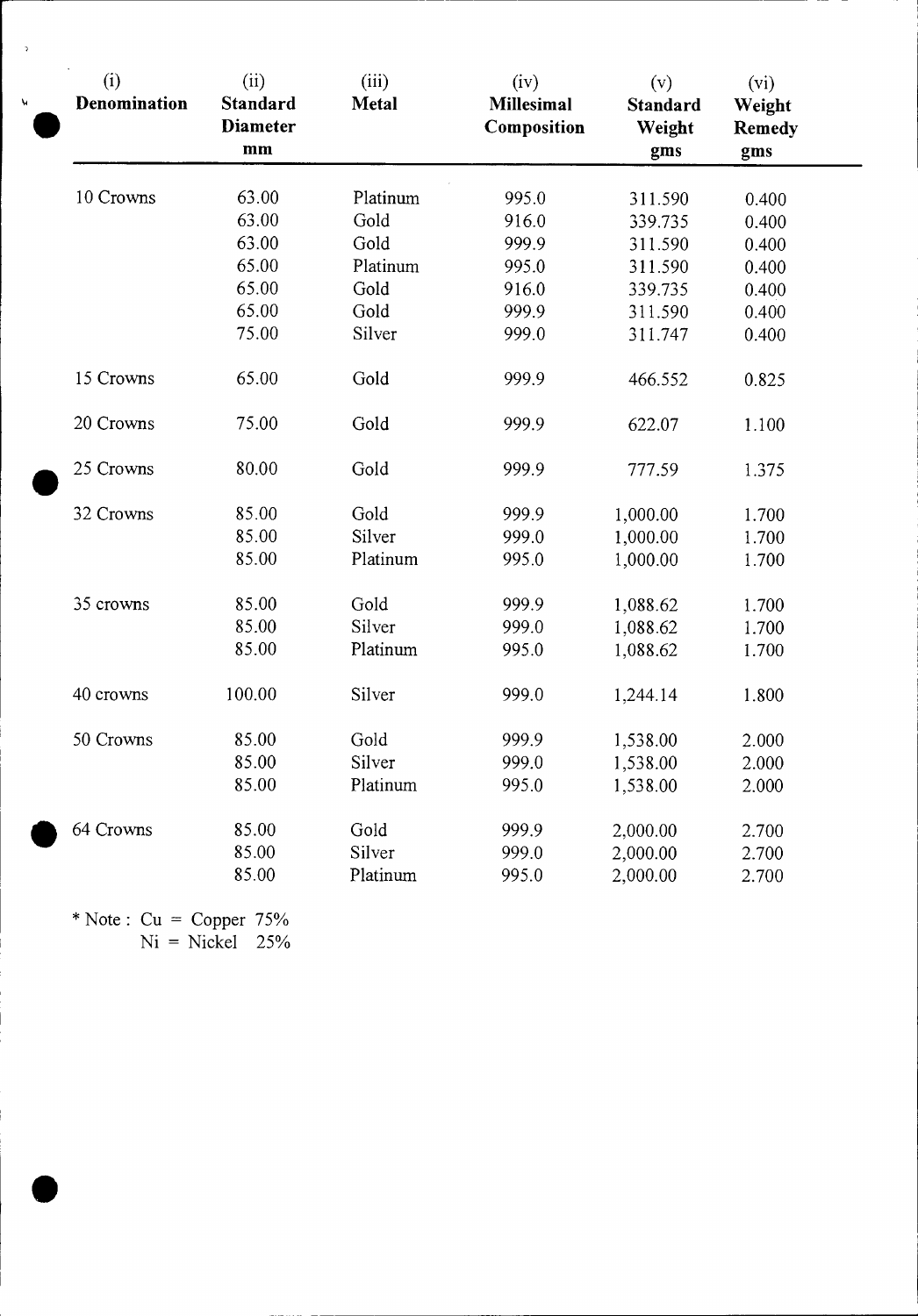| (i)<br>Denomination | (ii)<br>Standard<br><b>Diameter</b><br>mm | (iii)<br><b>Metal</b> | (iv)<br><b>Millesimal</b><br>Composition | (v)<br>Standard<br>Weight<br>gms | $(v_i)$<br>Weight<br><b>Remedy</b><br>gms |
|---------------------|-------------------------------------------|-----------------------|------------------------------------------|----------------------------------|-------------------------------------------|
| 10 Crowns           | 63.00                                     | Platinum              | 995.0                                    | 311.590                          | 0.400                                     |
|                     | 63.00                                     | Gold                  | 916.0                                    | 339.735                          | 0.400                                     |
|                     | 63.00                                     | Gold                  | 999.9                                    | 311.590                          | 0.400                                     |
|                     | 65.00                                     | Platinum              | 995.0                                    | 311.590                          | 0.400                                     |
|                     | 65.00                                     | Gold                  | 916.0                                    | 339.735                          | 0.400                                     |
|                     | 65.00                                     | Gold                  | 999.9                                    | 311.590                          | 0.400                                     |
|                     | 75.00                                     | Silver                | 999.0                                    | 311.747                          | 0.400                                     |
| 15 Crowns           | 65.00                                     | Gold                  | 999.9                                    | 466.552                          | 0.825                                     |
| 20 Crowns           | 75.00                                     | Gold                  | 999.9                                    | 622.07                           | 1.100                                     |
| 25 Crowns           | 80.00                                     | Gold                  | 999.9                                    | 777.59                           | 1.375                                     |
| 32 Crowns           | 85.00                                     | Gold                  | 999.9                                    | 1,000.00                         | 1.700                                     |
|                     | 85.00                                     | Silver                | 999.0                                    | 1,000.00                         | 1.700                                     |
|                     | 85.00                                     | Platinum              | 995.0                                    | 1,000.00                         | 1.700                                     |
| 35 crowns           | 85.00                                     | Gold                  | 999.9                                    | 1,088.62                         | 1.700                                     |
|                     | 85.00                                     | Silver                | 999.0                                    | 1,088.62                         | 1.700                                     |
|                     | 85.00                                     | Platinum              | 995.0                                    | 1,088.62                         | 1.700                                     |
| 40 crowns           | 100.00                                    | Silver                | 999.0                                    | 1,244.14                         | 1.800                                     |
| 50 Crowns           | 85.00                                     | Gold                  | 999.9                                    | 1,538.00                         | 2.000                                     |
|                     | 85.00                                     | Silver                | 999.0                                    | 1,538.00                         | 2.000                                     |
|                     | 85.00                                     | Platinum              | 995.0                                    | 1,538.00                         | 2.000                                     |
| 64 Crowns           | 85.00                                     | Gold                  | 999.9                                    | 2,000.00                         | 2.700                                     |
|                     | 85.00                                     | Silver                | 999.0                                    | 2,000.00                         | 2.700                                     |
|                     | 85.00                                     | Platinum              | 995.0                                    | 2,000.00                         | 2.700                                     |

\* Note :  $Cu = Copper 75%$  $Ni = Nickel$  25%



 $\overline{\phantom{a}}$ 

 $\mathbf{v}$